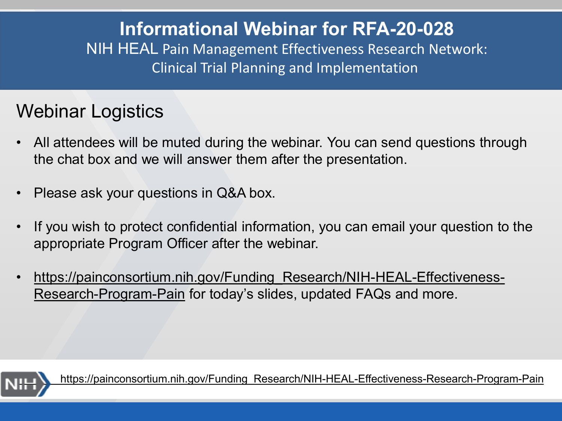## **Informational Webinar for RFA-20-028** NIH HEAL Pain Management Effectiveness Research Network: Clinical Trial Planning and Implementation

# Webinar Logistics

- All attendees will be muted during the webinar. You can send questions through the chat box and we will answer them after the presentation.
- Please ask your questions in Q&A box.
- If you wish to protect confidential information, you can email your question to the appropriate Program Officer after the webinar.
- https://painconsortium.nih.gov/Funding Research/NIH-HEAL-Effectiveness-Research-Program-Pain for today's slides, updated FAQs and more.



[https://painconsortium.nih.gov/Funding\\_Research/NIH-HEAL-Effectiveness-Research-Program-Pain](https://painconsortium.nih.gov/Funding_Research/NIH-HEAL-Effectiveness-Research-Program-Pain)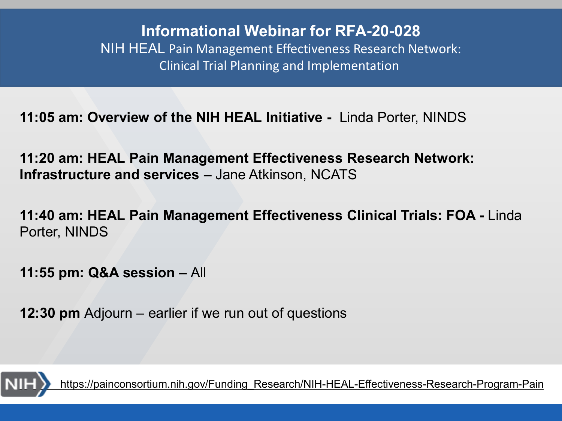**12:00 pm: Webinar Introduction & Overview** – Linda Porter, NINDS **Informational Webinar for RFA-20-028** NIH HEAL Pain Management Effectiveness Research Network: Clinical Trial Planning and Implementation

**11:05 am: Overview of the NIH HEAL Initiative -** Linda Porter, NINDS

**11:20 am: HEAL Pain Management Effectiveness Research Network: Infrastructure and services –** Jane Atkinson, NCATS

**11:40 am: HEAL Pain Management Effectiveness Clinical Trials: FOA -** Linda Porter, NINDS

**11:55 pm: Q&A session –** All

**12:30 pm** Adjourn – earlier if we run out of questions



[https://painconsortium.nih.gov/Funding\\_Research/NIH-HEAL-Effectiveness-Research-Program-Pain](https://painconsortium.nih.gov/Funding_Research/NIH-HEAL-Effectiveness-Research-Program-Pain)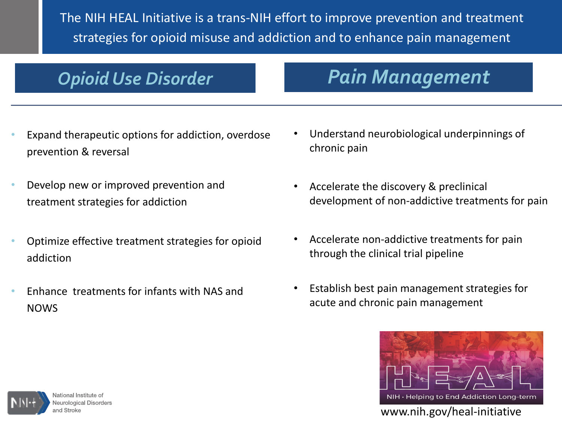The NIH HEAL Initiative is a trans-NIH effort to improve prevention and treatment strategies for opioid misuse and addiction and to enhance pain management

# **Opioid Use Disorder NIH HEAL INITIATIVE: Pain Management**

- Expand therapeutic options for addiction, overdose prevention & reversal
- Develop new or improved prevention and treatment strategies for addiction
- Optimize effective treatment strategies for opioid addiction
- Enhance treatments for infants with NAS and NOWS
- Understand neurobiological underpinnings of chronic pain
- Accelerate the discovery & preclinical development of non-addictive treatments for pain
- Accelerate non-addictive treatments for pain through the clinical trial pipeline
- Establish best pain management strategies for acute and chronic pain management





National Institute of **Neurological Disorders** and Stroke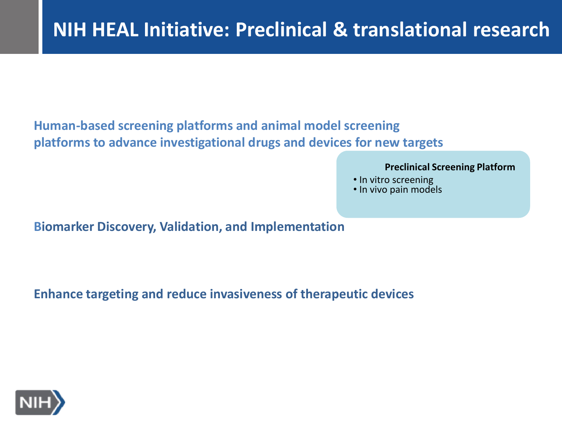#### **Human-based screening platforms and animal model screening platforms to advance investigational drugs and devices for new targets**

#### **Preclinical Screening Platform**

- In vitro screening
- In vivo pain models

**Biomarker Discovery, Validation, and Implementation** 

**Enhance targeting and reduce invasiveness of therapeutic devices**

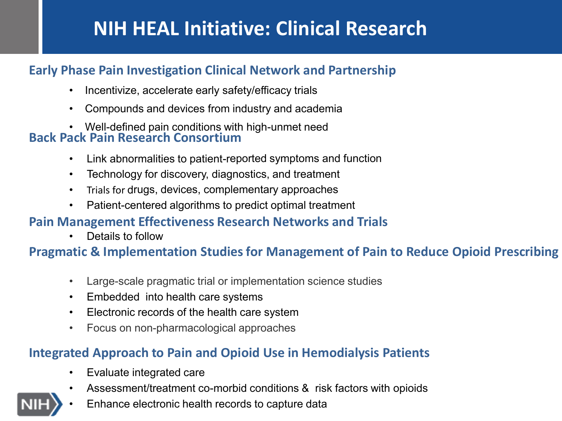# **NIH HEAL Initiative: Clinical Research**

#### **Early Phase Pain Investigation Clinical Network and Partnership**

- Incentivize, accelerate early safety/efficacy trials
- Compounds and devices from industry and academia
- Well-defined pain conditions with high-unmet need

#### **Back Pack Pain Research Consortium**

- Link abnormalities to patient-reported symptoms and function
- Technology for discovery, diagnostics, and treatment
- Trials for drugs, devices, complementary approaches
- Patient-centered algorithms to predict optimal treatment

#### **Pain Management Effectiveness Research Networks and Trials**

• Details to follow

#### **Pragmatic & Implementation Studies for Management of Pain to Reduce Opioid Prescribing**

- Large-scale pragmatic trial or implementation science studies
- Embedded into health care systems
- Electronic records of the health care system
- Focus on non-pharmacological approaches

#### **Integrated Approach to Pain and Opioid Use in Hemodialysis Patients**

- Evaluate integrated care
- Assessment/treatment co-morbid conditions & risk factors with opioids

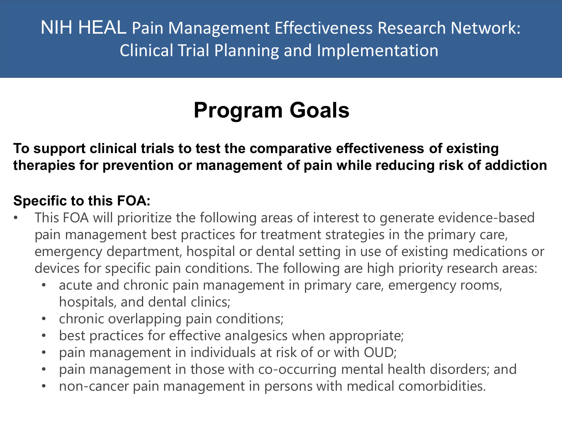# **Program Goals**

**To support clinical trials to test the comparative effectiveness of existing therapies for prevention or management of pain while reducing risk of addiction** 

#### **Specific to this FOA:**

- This FOA will prioritize the following areas of interest to generate evidence-based pain management best practices for treatment strategies in the primary care, emergency department, hospital or dental setting in use of existing medications or devices for specific pain conditions. The following are high priority research areas:
	- acute and chronic pain management in primary care, emergency rooms, hospitals, and dental clinics;
	- chronic overlapping pain conditions;
	- best practices for effective analgesics when appropriate;
	- pain management in individuals at risk of or with OUD;
	- pain management in those with co-occurring mental health disorders; and
	- non-cancer pain management in persons with medical comorbidities.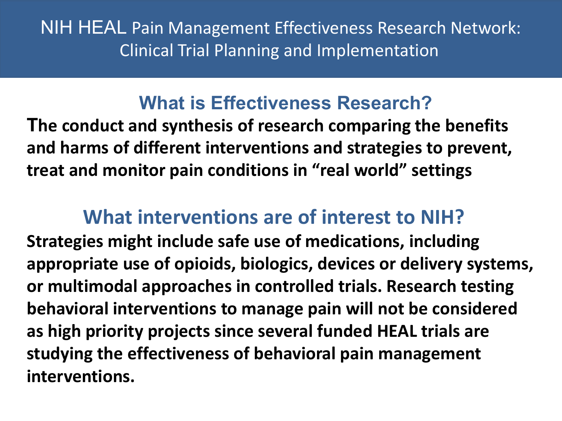# **What is Effectiveness Research?**

**The conduct and synthesis of research comparing the benefits and harms of different interventions and strategies to prevent, treat and monitor pain conditions in "real world" settings**

# **What interventions are of interest to NIH?**

**Strategies might include safe use of medications, including appropriate use of opioids, biologics, devices or delivery systems, or multimodal approaches in controlled trials. Research testing behavioral interventions to manage pain will not be considered as high priority projects since several funded HEAL trials are studying the effectiveness of behavioral pain management interventions.**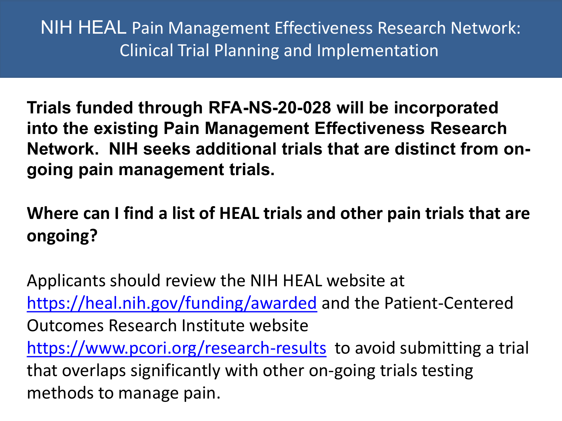**Trials funded through RFA-NS-20-028 will be incorporated into the existing Pain Management Effectiveness Research Network. NIH seeks additional trials that are distinct from ongoing pain management trials.**

**Where can I find a list of HEAL trials and other pain trials that are ongoing?** 

Applicants should review the NIH HEAL website at <https://heal.nih.gov/funding/awarded> and the Patient-Centered Outcomes Research Institute website <https://www.pcori.org/research-results> to avoid submitting a trial that overlaps significantly with other on-going trials testing methods to manage pain.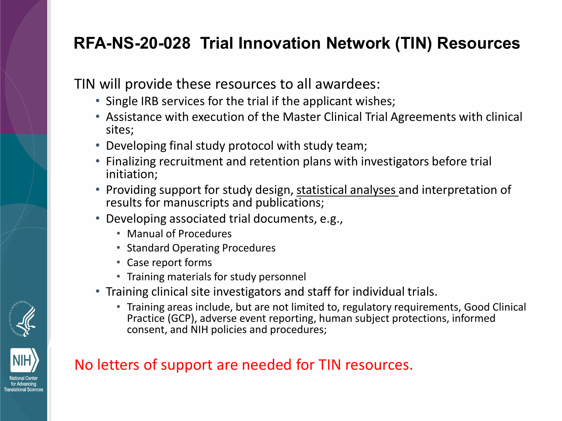## **RFA-NS-20-028 Trial Innovation Network (TIN) Resources**

TIN will provide these resources to all awardees:

- Single IRB services for the trial if the applicant wishes;
- Assistance with execution of the Master Clinical Trial Agreements with clinical sites;
- Developing final study protocol with study team;
- Finalizing recruitment and retention plans with investigators before trial initiation;
- Providing support for study design, statistical analyses and interpretation of results for manuscripts and publications;
- Developing associated trial documents, e.g.,
	- Manual of Procedures
	- Standard Operating Procedures
	- Case report forms
	- Training materials for study personnel
- Training clinical site investigators and staff for individual trials.
	- Training areas include, but are not limited to, regulatory requirements, Good Clinical Practice (GCP), adverse event reporting, human subject protections, informed consent, and NIH policies and procedures;



#### No letters of support are needed for TIN resources.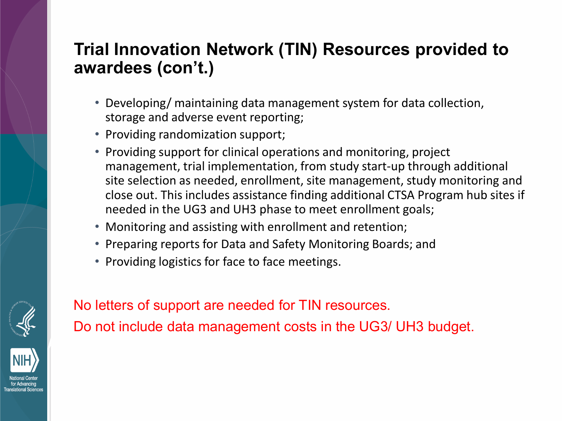### **Trial Innovation Network (TIN) Resources provided to awardees (con't.)**

- Developing/ maintaining data management system for data collection, storage and adverse event reporting;
- Providing randomization support;
- Providing support for clinical operations and monitoring, project management, trial implementation, from study start-up through additional site selection as needed, enrollment, site management, study monitoring and close out. This includes assistance finding additional CTSA Program hub sites if needed in the UG3 and UH3 phase to meet enrollment goals;
- Monitoring and assisting with enrollment and retention;
- Preparing reports for Data and Safety Monitoring Boards; and
- Providing logistics for face to face meetings.





No letters of support are needed for TIN resources.

Do not include data management costs in the UG3/ UH3 budget.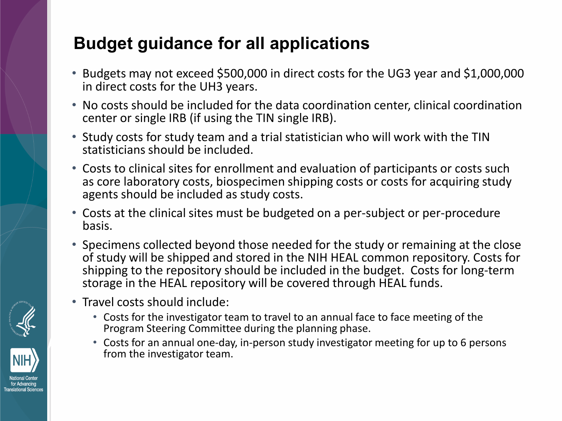# **Budget guidance for all applications**

- Budgets may not exceed \$500,000 in direct costs for the UG3 year and \$1,000,000 in direct costs for the UH3 years.
- No costs should be included for the data coordination center, clinical coordination center or single IRB (if using the TIN single IRB).
- Study costs for study team and a trial statistician who will work with the TIN statisticians should be included.
- Costs to clinical sites for enrollment and evaluation of participants or costs such as core laboratory costs, biospecimen shipping costs or costs for acquiring study agents should be included as study costs.
- Costs at the clinical sites must be budgeted on a per-subject or per-procedure basis.
- Specimens collected beyond those needed for the study or remaining at the close of study will be shipped and stored in the NIH HEAL common repository. Costs for shipping to the repository should be included in the budget. Costs for long-term storage in the HEAL repository will be covered through HEAL funds.
- Travel costs should include:
	- Costs for the investigator team to travel to an annual face to face meeting of the Program Steering Committee during the planning phase.
	- Costs for an annual one-day, in-person study investigator meeting for up to 6 persons from the investigator team.



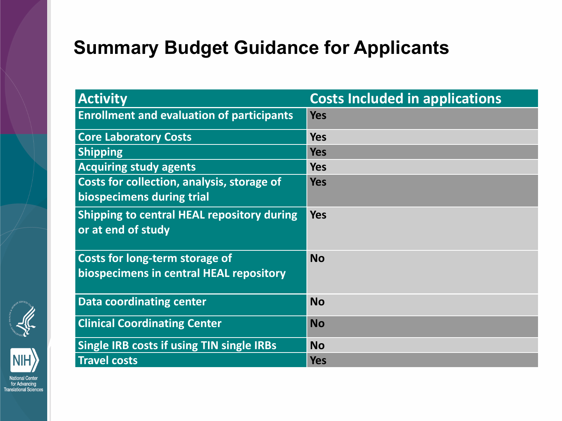# **Summary Budget Guidance for Applicants**

| <b>Activity</b>                                                           | <b>Costs Included in applications</b> |
|---------------------------------------------------------------------------|---------------------------------------|
| <b>Enrollment and evaluation of participants</b>                          | <b>Yes</b>                            |
| <b>Core Laboratory Costs</b>                                              | <b>Yes</b>                            |
| <b>Shipping</b>                                                           | <b>Yes</b>                            |
| <b>Acquiring study agents</b>                                             | <b>Yes</b>                            |
| Costs for collection, analysis, storage of<br>biospecimens during trial   | <b>Yes</b>                            |
| Shipping to central HEAL repository during<br>or at end of study          | <b>Yes</b>                            |
| Costs for long-term storage of<br>biospecimens in central HEAL repository | <b>No</b>                             |
| <b>Data coordinating center</b>                                           | <b>No</b>                             |
| <b>Clinical Coordinating Center</b>                                       | <b>No</b>                             |
| Single IRB costs if using TIN single IRBs                                 | <b>No</b>                             |
| <b>Travel costs</b>                                                       | <b>Yes</b>                            |





ational Center for Advancing Translational Sciences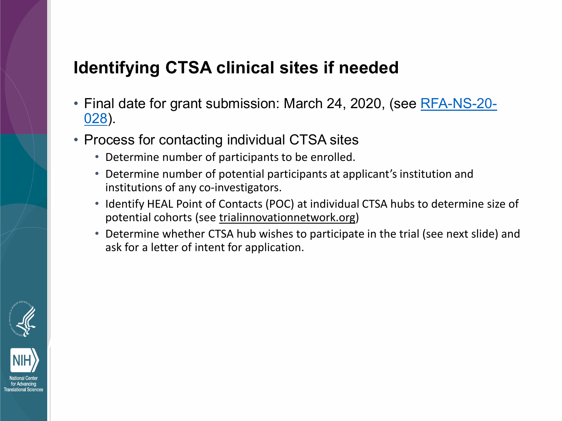### **Identifying CTSA clinical sites if needed**

- [Final date for grant submission: March 24, 2020, \(see RFA-NS-20-](https://grants.nih.gov/grants/guide/rfa-files/RFA-NS-20-028.html) 028).
- Process for contacting individual CTSA sites
	- Determine number of participants to be enrolled.
	- Determine number of potential participants at applicant's institution and institutions of any co-investigators.
	- Identify HEAL Point of Contacts (POC) at individual CTSA hubs to determine size of potential cohorts (see trialinnovationnetwork.org)
	- Determine whether CTSA hub wishes to participate in the trial (see next slide) and ask for a letter of intent for application.



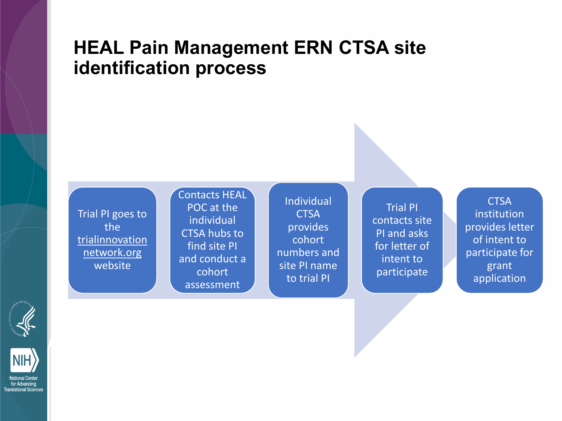## **HEAL Pain Management ERN CTSA site identification process**

Trial PI goes to the trialinnovation network.org website

Contacts HEAL POC at the individual CTSA hubs to find site PI and conduct a cohort assessment

Individual **CTSA** provides cohort numbers and site PI name to trial PI

Trial PI contacts site PI and asks for letter of intent to participate

**CTSA** institution provides letter of intent to participate for grant application





ional Cente for Advancing **Translational Sciences**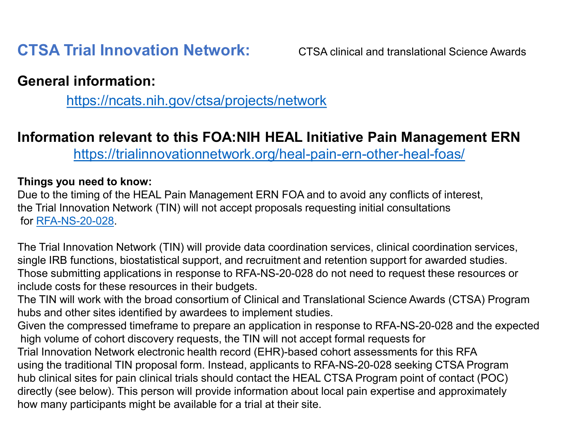### **CTSA Trial Innovation Network:** CTSA clinical and translational Science Awards

#### **General information:**

<https://ncats.nih.gov/ctsa/projects/network>

#### **Information relevant to this FOA:NIH HEAL Initiative Pain Management ERN**

<https://trialinnovationnetwork.org/heal-pain-ern-other-heal-foas/>

#### **Things you need to know:**

Due to the timing of the HEAL Pain Management ERN FOA and to avoid any conflicts of interest, the Trial Innovation Network (TIN) will not accept proposals requesting initial consultations for [RFA-NS-20-028](https://grants.nih.gov/grants/guide/rfa-files/RFA-NS-20-028.html).

The Trial Innovation Network (TIN) will provide data coordination services, clinical coordination services, single IRB functions, biostatistical support, and recruitment and retention support for awarded studies. Those submitting applications in response to RFA-NS-20-028 do not need to request these resources or include costs for these resources in their budgets.

The TIN will work with the broad consortium of Clinical and Translational Science Awards (CTSA) Program hubs and other sites identified by awardees to implement studies.

Given the compressed timeframe to prepare an application in response to RFA-NS-20-028 and the expected high volume of cohort discovery requests, the TIN will not accept formal requests for Trial Innovation Network electronic health record (EHR)-based cohort assessments for this RFA using the traditional TIN proposal form. Instead, applicants to RFA-NS-20-028 seeking CTSA Program hub clinical sites for pain clinical trials should contact the HEAL CTSA Program point of contact (POC) directly (see below). This person will provide information about local pain expertise and approximately how many participants might be available for a trial at their site.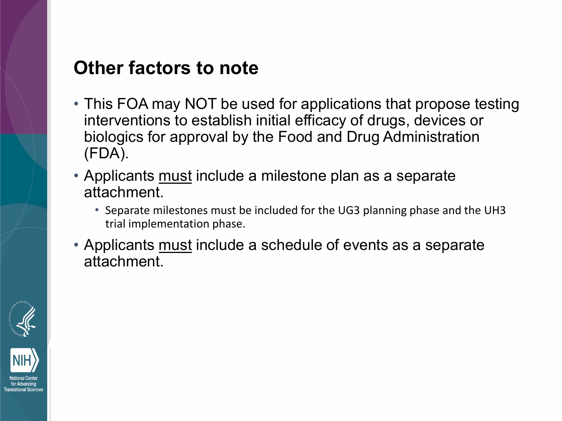# **Other factors to note**

- This FOA may NOT be used for applications that propose testing interventions to establish initial efficacy of drugs, devices or biologics for approval by the Food and Drug Administration (FDA).
- Applicants must include a milestone plan as a separate attachment.
	- Separate milestones must be included for the UG3 planning phase and the UH3 trial implementation phase.
- Applicants must include a schedule of events as a separate attachment.



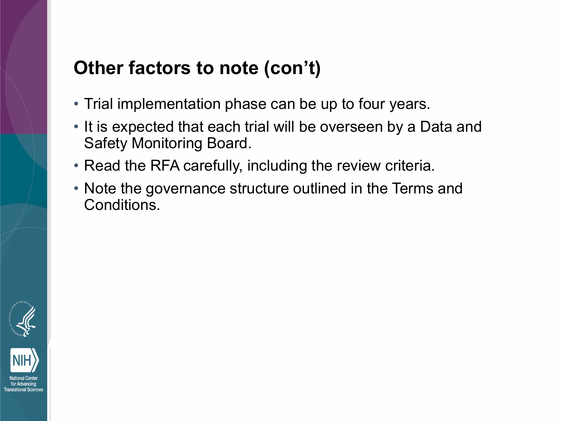# **Other factors to note (con't)**

- Trial implementation phase can be up to four years.
- It is expected that each trial will be overseen by a Data and Safety Monitoring Board.
- Read the RFA carefully, including the review criteria.
- Note the governance structure outlined in the Terms and Conditions.

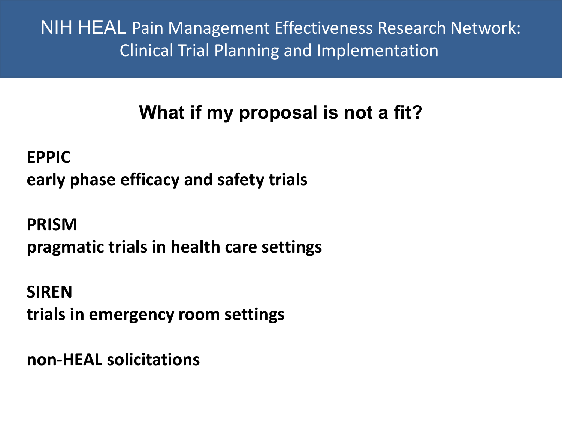# **What if my proposal is not a fit?**

**EPPIC early phase efficacy and safety trials**

**PRISM pragmatic trials in health care settings**

**SIREN trials in emergency room settings**

**non-HEAL solicitations**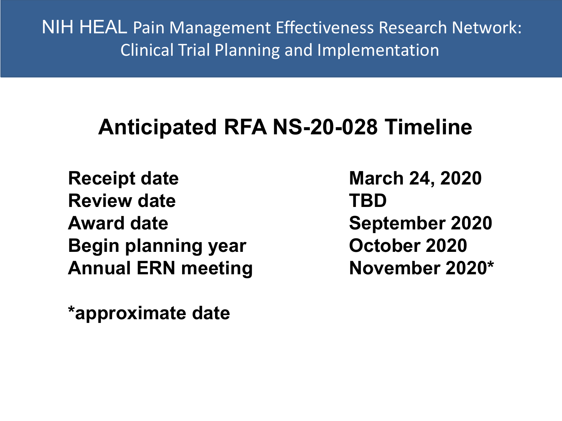# **Anticipated RFA NS-20-028 Timeline**

**Receipt date March 24, 2020 Review date TBD Award date September 2020 Begin planning year October 2020 Annual ERN meeting November 2020\***

**\*approximate date**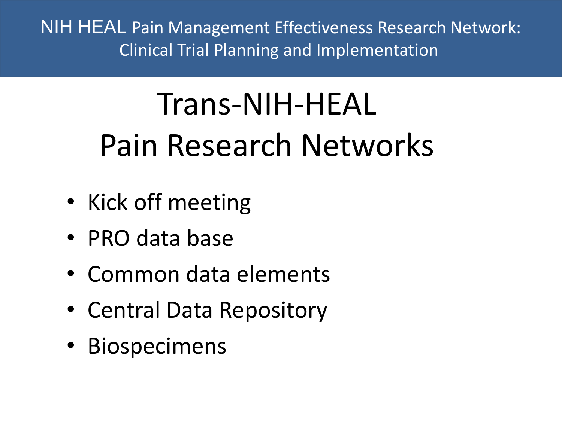# Trans-NIH-HEAL Pain Research Networks

- Kick off meeting
- PRO data base
- Common data elements
- Central Data Repository
- Biospecimens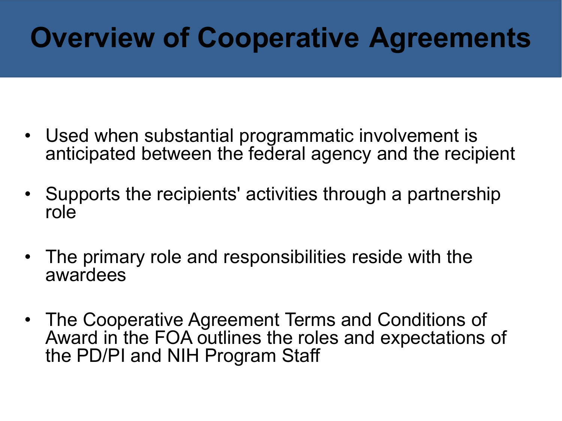# **Overview of Cooperative Agreements**

- Used when substantial programmatic involvement is anticipated between the federal agency and the recipient
- Supports the recipients' activities through a partnership role
- The primary role and responsibilities reside with the awardees
- The Cooperative Agreement Terms and Conditions of Award in the FOA outlines the roles and expectations of the PD/PI and NIH Program Staff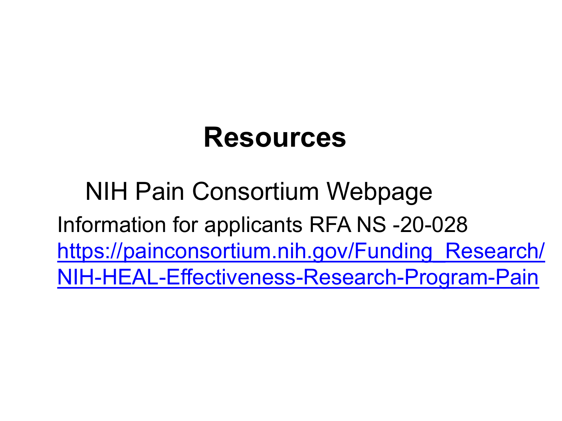# **Resources**

NIH Pain Consortium Webpage Information for applicants RFA NS -20-028 https://painconsortium.nih.gov/Funding Research/ NIH-HEAL-Effectiveness-Research-Program-Pain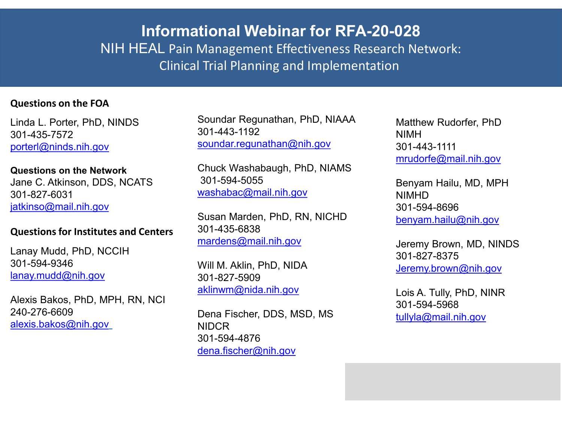#### **Informational Webinar for RFA-20-028** NIH HEAL Pain Management Effectiveness Research Network: Clinical Trial Planning and Implementation

#### **Questions on the FOA**

Linda L. Porter, PhD, NINDS 301-435-7572 [porterl@ninds.nih.gov](mailto:porterl@ninds.nih.gov)

#### **Questions on the Network**

Jane C. Atkinson, DDS, NCATS 301-827-6031 [jatkinso@mail.nih.gov](mailto:jatkinso@mail.nih.gov)

#### **Questions for Institutes and Centers**

Lanay Mudd, PhD, NCCIH 301-594-9346 [lanay.mudd@nih.gov](mailto:lanay.mudd@nih.gov)

Alexis Bakos, PhD, MPH, RN, NCI 240-276-6609 [alexis.bakos@nih.gov](mailto:alexis.bakos@nih.gov)

Soundar Regunathan, PhD, NIAAA 301-443-1192 [soundar.regunathan@nih.gov](mailto:soundar.regunathan@nih.gov)

Chuck Washabaugh, PhD, NIAMS 301-594-5055 [washabac@mail.nih.gov](mailto:washabac@mail.nih.gov)

Susan Marden, PhD, RN, NICHD 301-435-6838 [mardens@mail.nih.gov](mailto:mardens@mail.nih.gov)

Will M. Aklin, PhD, NIDA 301-827-5909 [aklinwm@nida.nih.gov](mailto:aklinwm@nida.nih.gov)

Dena Fischer, DDS, MSD, MS NIDCR 301-594-4876 [dena.fischer@nih.gov](mailto:dena.fischer@nih.gov)

Matthew Rudorfer, PhD NIMH 301-443-1111 [mrudorfe@mail.nih.gov](mailto:mrudorfe@mail.nih.gov)

Benyam Hailu, MD, MPH NIMHD 301-594-8696 [benyam.hailu@nih.gov](mailto:benyam.hailu@nih.gov)

Jeremy Brown, MD, NINDS 301-827-8375 [Jeremy.brown@nih.gov](mailto:Jeremy.brown@nih.gov)

Lois A. Tully, PhD, NINR 301-594-5968 [tullyla@mail.nih.gov](mailto:tullyla@mail.nih.gov)